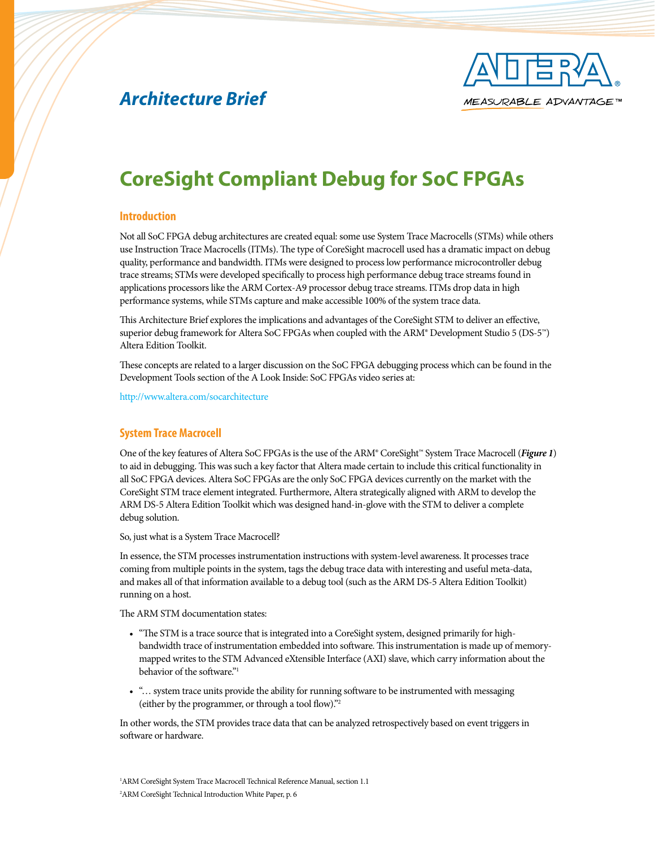



# **CoreSight Compliant Debug for SoC FPGAs**

#### **Introduction**

Not all SoC FPGA debug architectures are created equal: some use System Trace Macrocells (STMs) while others use Instruction Trace Macrocells (ITMs). The type of CoreSight macrocell used has a dramatic impact on debug quality, performance and bandwidth. ITMs were designed to process low performance microcontroller debug trace streams; STMs were developed specifically to process high performance debug trace streams found in applications processors like the ARM Cortex-A9 processor debug trace streams. ITMs drop data in high performance systems, while STMs capture and make accessible 100% of the system trace data.

This Architecture Brief explores the implications and advantages of the CoreSight STM to deliver an effective, superior debug framework for Altera SoC FPGAs when coupled with the ARM® Development Studio 5 (DS-5™) Altera Edition Toolkit.

These concepts are related to a larger discussion on the SoC FPGA debugging process which can be found in the Development Tools section of the A Look Inside: SoC FPGAs video series at:

<http://www.altera.com/socarchitecture>

#### **System Trace Macrocell**

One of the key features of Altera SoC FPGAs is the use of the ARM® CoreSight™ System Trace Macrocell (*Figure 1*) to aid in debugging. This was such a key factor that Altera made certain to include this critical functionality in all SoC FPGA devices. Altera SoC FPGAs are the only SoC FPGA devices currently on the market with the CoreSight STM trace element integrated. Furthermore, Altera strategically aligned with ARM to develop the ARM DS-5 Altera Edition Toolkit which was designed hand-in-glove with the STM to deliver a complete debug solution.

So, just what is a System Trace Macrocell?

In essence, the STM processes instrumentation instructions with system-level awareness. It processes trace coming from multiple points in the system, tags the debug trace data with interesting and useful meta-data, and makes all of that information available to a debug tool (such as the ARM DS-5 Altera Edition Toolkit) running on a host.

The ARM STM documentation states:

- "The STM is a trace source that is integrated into a CoreSight system, designed primarily for highbandwidth trace of instrumentation embedded into software. This instrumentation is made up of memorymapped writes to the STM Advanced eXtensible Interface (AXI) slave, which carry information about the behavior of the software."1
- "… system trace units provide the ability for running software to be instrumented with messaging (either by the programmer, or through a tool flow)."2

In other words, the STM provides trace data that can be analyzed retrospectively based on event triggers in software or hardware.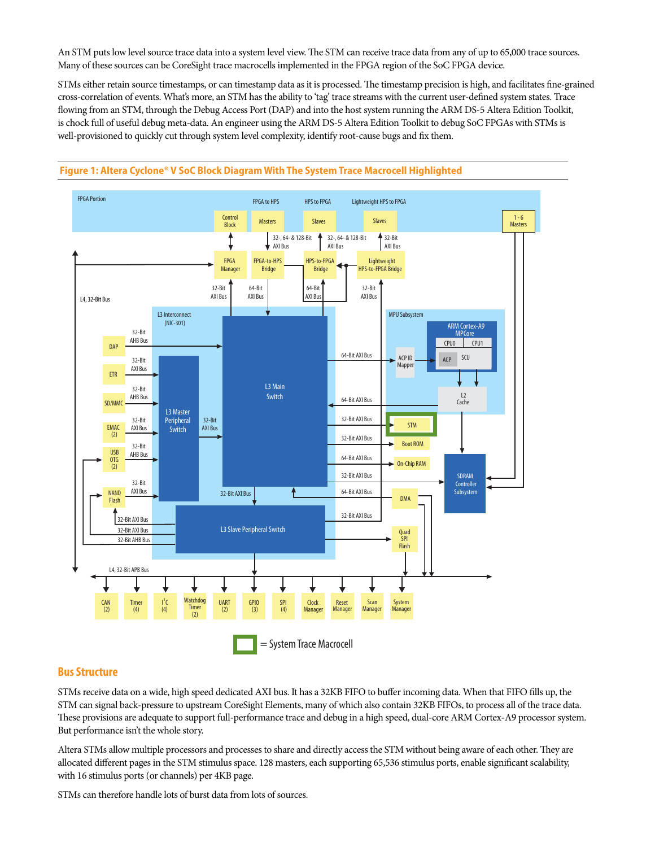An STM puts low level source trace data into a system level view. The STM can receive trace data from any of up to 65,000 trace sources. Many of these sources can be CoreSight trace macrocells implemented in the FPGA region of the SoC FPGA device.

STMs either retain source timestamps, or can timestamp data as it is processed. The timestamp precision is high, and facilitates fine-grained cross-correlation of events. What's more, an STM has the ability to 'tag' trace streams with the current user-defined system states. Trace flowing from an STM, through the Debug Access Port (DAP) and into the host system running the ARM DS-5 Altera Edition Toolkit, is chock full of useful debug meta-data. An engineer using the ARM DS-5 Altera Edition Toolkit to debug SoC FPGAs with STMs is well-provisioned to quickly cut through system level complexity, identify root-cause bugs and fix them.



## **Figure 1: Altera Cyclone® V SoC Block Diagram With The System Trace Macrocell Highlighted**

#### **Bus Structure**

STMs receive data on a wide, high speed dedicated AXI bus. It has a 32KB FIFO to buffer incoming data. When that FIFO fills up, the STM can signal back-pressure to upstream CoreSight Elements, many of which also contain 32KB FIFOs, to process all of the trace data. These provisions are adequate to support full-performance trace and debug in a high speed, dual-core ARM Cortex-A9 processor system. But performance isn't the whole story.

Altera STMs allow multiple processors and processes to share and directly access the STM without being aware of each other. They are allocated different pages in the STM stimulus space. 128 masters, each supporting 65,536 stimulus ports, enable significant scalability, with 16 stimulus ports (or channels) per 4KB page.

STMs can therefore handle lots of burst data from lots of sources.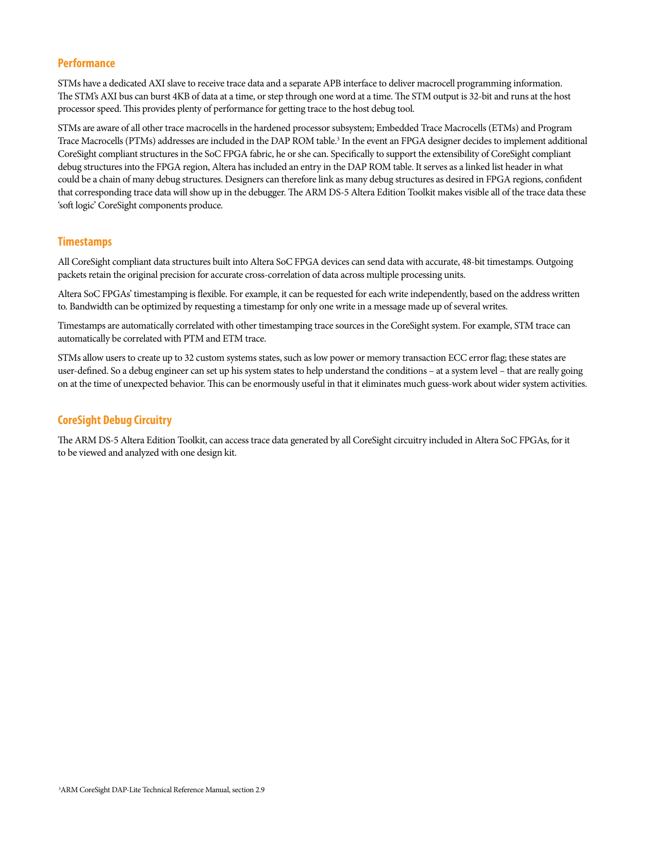## **Performance**

STMs have a dedicated AXI slave to receive trace data and a separate APB interface to deliver macrocell programming information. The STM's AXI bus can burst 4KB of data at a time, or step through one word at a time. The STM output is 32-bit and runs at the host processor speed. This provides plenty of performance for getting trace to the host debug tool.

STMs are aware of all other trace macrocells in the hardened processor subsystem; Embedded Trace Macrocells (ETMs) and Program Trace Macrocells (PTMs) addresses are included in the DAP ROM table.<sup>3</sup> In the event an FPGA designer decides to implement additional CoreSight compliant structures in the SoC FPGA fabric, he or she can. Specifically to support the extensibility of CoreSight compliant debug structures into the FPGA region, Altera has included an entry in the DAP ROM table. It serves as a linked list header in what could be a chain of many debug structures. Designers can therefore link as many debug structures as desired in FPGA regions, confident that corresponding trace data will show up in the debugger. The ARM DS-5 Altera Edition Toolkit makes visible all of the trace data these 'soft logic' CoreSight components produce.

## **Timestamps**

All CoreSight compliant data structures built into Altera SoC FPGA devices can send data with accurate, 48-bit timestamps. Outgoing packets retain the original precision for accurate cross-correlation of data across multiple processing units.

Altera SoC FPGAs' timestamping is flexible. For example, it can be requested for each write independently, based on the address written to. Bandwidth can be optimized by requesting a timestamp for only one write in a message made up of several writes.

Timestamps are automatically correlated with other timestamping trace sources in the CoreSight system. For example, STM trace can automatically be correlated with PTM and ETM trace.

STMs allow users to create up to 32 custom systems states, such as low power or memory transaction ECC error flag; these states are user-defined. So a debug engineer can set up his system states to help understand the conditions – at a system level – that are really going on at the time of unexpected behavior. This can be enormously useful in that it eliminates much guess-work about wider system activities.

## **CoreSight Debug Circuitry**

The ARM DS-5 Altera Edition Toolkit, can access trace data generated by all CoreSight circuitry included in Altera SoC FPGAs, for it to be viewed and analyzed with one design kit.